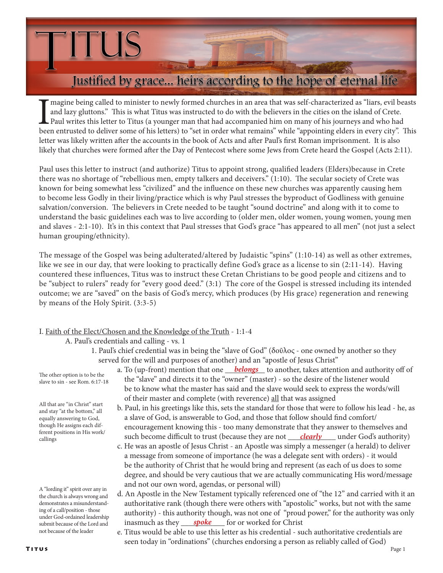# Justified by grace... heirs according to the hope of eternal life

Imagine being called to minister to newly formed churches in an area that was self-characterized as "liars, evil beasts and lazy gluttons." This is what Titus was instructed to do with the believers in the cities on the is magine being called to minister to newly formed churches in an area that was self-characterized as "liars, evil beasts and lazy gluttons." This is what Titus was instructed to do with the believers in the cities on the island of Crete. Paul writes this letter to Titus (a younger man that had accompanied him on many of his journeys and who had letter was likely written after the accounts in the book of Acts and after Paul's first Roman imprisonment. It is also likely that churches were formed after the Day of Pentecost where some Jews from Crete heard the Gospel (Acts 2:11).

Paul uses this letter to instruct (and authorize) Titus to appoint strong, qualified leaders (Elders)because in Crete there was no shortage of "rebellious men, empty talkers and deceivers." (1:10). The secular society of Crete was known for being somewhat less "civilized" and the influence on these new churches was apparently causing hem to become less Godly in their living/practice which is why Paul stresses the byproduct of Godliness with genuine salvation/conversion. The believers in Crete needed to be taught "sound doctrine" and along with it to come to understand the basic guidelines each was to live according to (older men, older women, young women, young men and slaves - 2:1-10). It's in this context that Paul stresses that God's grace "has appeared to all men" (not just a select human grouping/ethnicity).

The message of the Gospel was being adulterated/altered by Judaistic "spins" (1:10-14) as well as other extremes, like we see in our day, that were looking to practically define God's grace as a license to sin (2:11-14). Having countered these influences, Titus was to instruct these Cretan Christians to be good people and citizens and to be "subject to rulers" ready for "every good deed." (3:1) The core of the Gospel is stressed including its intended outcome; we are "saved" on the basis of God's mercy, which produces (by His grace) regeneration and renewing by means of the Holy Spirit. (3:3-5)

### I. Faith of the Elect/Chosen and the Knowledge of the Truth - 1:1-4

A. Paul's credentials and calling - vs. 1

**TUS** 

 1. Paul's chief credential was in being the "slave of God" (δοῦλος - one owned by another so they served for the will and purposes of another) and an "apostle of Jesus Christ"

The other option is to be the slave to sin - see Rom. 6:17-18

All that are "in Christ" start and stay "at the bottom," all equally answering to God, though He assigns each different positions in His work/ callings

A "lording it" spirit over any in the church is always wrong and demonstrates a misunderstanding of a call/position - those under God-ordained leadership submit because of the Lord and not because of the leader

- a. To (up-front) mention that one **belongs** to another, takes attention and authority off of the "slave" and directs it to the "owner" (master) - so the desire of the listener would be to know what the master has said and the slave would seek to express the words/will of their master and complete (with reverence) all that was assigned
- b. Paul, in his greetings like this, sets the standard for those that were to follow his lead he, as a slave of God, is answerable to God, and those that follow should find comfort/ encouragement knowing this - too many demonstrate that they answer to themselves and callings and the work such become difficult to trust (because they are not <u>clearly</u> under God's authority)
	- c. He was an apostle of Jesus Christ an Apostle was simply a messenger (a herald) to deliver a message from someone of importance (he was a delegate sent with orders) - it would be the authority of Christ that he would bring and represent (as each of us does to some degree, and should be very cautious that we are actually communicating His word/message and not our own word, agendas, or personal will)
- d. An Apostle in the New Testament typically referenced one of "the 12" and carried with it an authoritative rank (though there were others with "apostolic" works, but not with the same authority) - this authority though, was not one of "proud power," for the authority was only submit because of the Lord and inasmuch as they <u>spoke</u> for or worked for Christ
- e. Titus would be able to use this letter as his credential such authoritative credentials are seen today in "ordinations" (churches endorsing a person as reliably called of God)<br>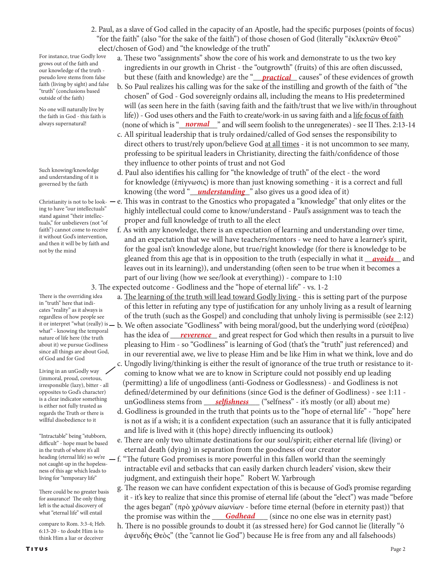2. Paul, as a slave of God called in the capacity of an Apostle, had the specific purposes (points of focus) "for the faith" (also "for the sake of the faith") of those chosen of God (literally "ἐκλεκτῶν Θεοῦ" elect/chosen of God) and "the knowledge of the truth"

For instance, true Godly love grows out of the faith and our knowledge of the truth pseudo love stems from false faith (living by sight) and false "truth" (conclusions based outside of the faith)

No one will naturally live by the faith in God - this faith is always supernatural!

Such knowing/knowledge and understanding of it is governed by the faith

ing to have "our intellectuals" stand against "their intellectuals," for unbelievers (not "of faith") cannot come to receive it without God's intervention, and then it will be by faith and not by the mind

There is the overriding idea in "truth" here that indicates "reality" as it always is regardless of how people see what" - knowing the temporal nature of life here (the truth about it) we pursue Godliness since all things are about God, of God and for God

Living in an unGodly way (immoral, proud, covetous, irresponsible (lazy), bitter - all opposites to God's character) is a clear indicator something is either not fully trusted as regards the Truth or there is willful disobedience to it

"Intractable" being "stubborn, difficult" - hope must be based in the truth of where it's all heading (eternal life) so we're not caught-up in the hopelessness of this age which leads to living for "temporary life"

There could be no greater basis for assurance! The only thing left is the actual discovery of what "eternal life" will entail

compare to Rom. 3:3-4; Heb. 6:13-20 - to doubt Him is to think Him a liar or deceiver

- a. These two "assignments" show the core of his work and demonstrate to us the two key ingredients in our growth in Christ - the "outgrowth" (fruits) of this are often discussed, pseudo love stems from false <sup>but these (faith and knowledge) are the "<u>practical</u> causes" of these evidences of growth  $\,$ </sup>
- b. So Paul realizes his calling was for the sake of the instilling and growth of the faith of "the chosen" of God - God sovereignly ordains all, including the means to His predetermined will (as seen here in the faith (saving faith and the faith/trust that we live with/in throughout life)) - God uses others and the Faith to create/work-in us saving faith and a life focus of faith always supernatural! (none of which is "<u>pormal v</u>" and will seem foolish to the unregenerates) - see II Thes. 2:13-14
	- c. All spiritual leadership that is truly ordained/called of God senses the responsibility to direct others to trust/rely upon/believe God at all times - it is not uncommon to see many, professing to be spiritual leaders in Christianity, directing the faith/confidence of those they influence to other points of trust and not God
- d. Paul also identifies his calling for "the knowledge of truth" of the elect the word for knowledge (ἐπίγνωσις) is more than just knowing something - it is a correct and full knowing (the word "<u>\_\_*understanding*\_\_</u>" also gives us a good idea of it)
- Christianity is not to be look-  $-$  e. This was in contrast to the Gnostics who propagated a "knowledge" that only elites or the highly intellectual could come to know/understand - Paul's assignment was to teach the proper and full knowledge of truth to all the elect
- f. As with any knowledge, there is an expectation of learning and understanding over time, and an expectation that we will have teachers/mentors - we need to have a learner's spirit, for the goal isn't knowledge alone, but true/right knowledge (for there is knowledge to be gleaned from this age that is in opposition to the truth (especially in what it <u>avoids</u> and leaves out in its learning)), and understanding (often seen to be true when it becomes a part of our living (how we see/look at everything)) - compare to 1:10

3. The expected outcome - Godliness and the "hope of eternal life" - vs. 1-2

- a. The learning of the truth will lead toward Godly living this is setting part of the purpose of this letter in refuting any type of justification for any unholy living as a result of learning of the truth (such as the Gospel) and concluding that unholy living is permissible (see 2:12)
- it or interpret "what (really) is b. We often associate "Godliness" with being moral/good, but the underlying word (εὐσέβεια) *nature of life here (the truth* has the idea of <u>reverence</u> and great respect for God which then results in a pursuit to live *ruture* of life here (the truth pleasing to Him - so "Godliness" is learning of God (that's the "truth" just referenced) and in our reverential awe, we live to please Him and be like Him in what we think, love and do
- c. Ungodly living/thinking is either the result of ignorance of the true truth or resistance to it coming to know what we are to know in Scripture could not possibly end up leading (permitting) a life of ungodliness (anti-Godness or Godlessness) - and Godliness is not defined/determined by our definitions (since God is the definer of Godliness) - see 1:11 - <sup>1s a clear indicator something</sup> unGodliness stems from <u>selfishness</u> ("selfness" - it's mostly (or all) about me)
	- d. Godliness is grounded in the truth that points us to the "hope of eternal life" "hope" here is not as if a wish; it is a confident expectation (such an assurance that it is fully anticipated and life is lived with it (this hope) directly influencing its outlook)
	- e. There are only two ultimate destinations for our soul/spirit; either eternal life (living) or eternal death (dying) in separation from the goodness of our creator
	- f. "The future God promises is more powerful in this fallen world than the seemingly intractable evil and setbacks that can easily darken church leaders' vision, skew their judgment, and extinguish their hope." Robert W. Yarbrough
- g. The reason we can have confident expectation of this is because of God's promise regarding it - it's key to realize that since this promise of eternal life (about the "elect") was made "before the ages began" (πρὸ χρόνων αἰωνίων - before time eternal (before in eternity past)) that what eternal life will entail the promise was within the <u>Godhead</u> (since no one else was in eternity past)
	- h. There is no possible grounds to doubt it (as stressed here) for God cannot lie (literally "ὁ ἀψευδὴς Θεὸς" (the "cannot lie God") because He is free from any and all falsehoods)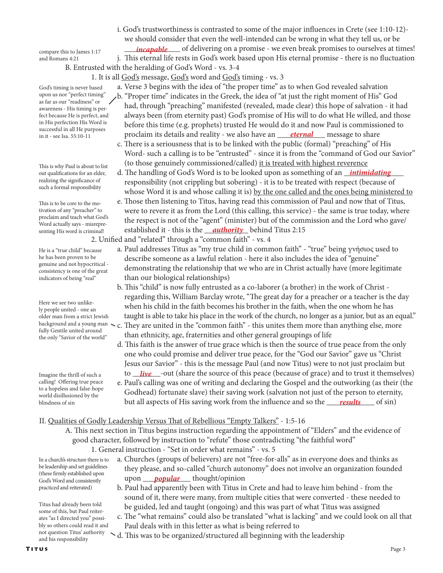compare this to James 1:17 *incapable* of delivering on a promise - we even break promises to ourselves at times! compare this to James 1:17 and Romans 4:21

 j. This eternal life rests in God's work based upon His eternal promise - there is no fluctuation B. Entrusted with the heralding of God's Word - vs. 3-4

1. It is all God's message, God's word and God's timing - vs. 3

a. Verse 3 begins with the idea of "the proper time" as to when God revealed salvation

God's timing is never based upon us nor "perfect timing" as far as our "readiness" or awareness - His timing is perfect because He is perfect, and in His perfection His Word is successful in all He purposes in it - see Isa. 55:10-11

This is why Paul is about to list out qualifications for an elder, realizing the significance of such a formal responsibility

This is to be core to the motivation of any "preacher" to proclaim and teach what God's Word actually says - misrepresenting His word is criminal!

He is a "true child" because he has been proven to be genuine and not hypocritical consistency is one of the great indicators of being "real"

Here we see two unlikely people united - one an older man from a strict Jewish fully Gentile united around the only "Savior of the world"

Imagine the thrill of such a calling! Offering true peace to a hopeless and false-hope world disillusioned by the blindness of sin

 b. "Proper time" indicates in the Greek, the idea of "at just the right moment of His" God had, through "preaching" manifested (revealed, made clear) this hope of salvation - it had always been (from eternity past) God's promise of His will to do what He willed, and those before this time (e.g. prophets) trusted He would do it and now Paul is commissioned to in it - see Isa. 55:10-11 **process and reality - we also have an** <u>eternal</u> message to share

 i. God's trustworthiness is contrasted to some of the major influences in Crete (see 1:10-12) we should consider that even the well-intended can be wrong in what they tell us, or be

- c. There is a seriousness that is to be linked with the public (formal) "preaching" of His Word- such a calling is to be "entrusted" - since it is from the "command of God our Savior" (to those genuinely commissioned/called) it is treated with highest reverence
- out qualifications for an elder, d. The handling of God's Word is to be looked upon as something of an <u>\_\_intimidating</u>\_\_\_\_ responsibility (not crippling but sobering) - it is to be treated with respect (because of whose Word it is and whose calling it is) by the one called and the ones being ministered to
- e. Those then listening to Titus, having read this commission of Paul and now that of Titus, were to revere it as from the Lord (this calling, this service) - the same is true today, where the respect is not of the "agent" (minister) but of the commission and the Lord who gave/ established it - this is the \_\_\_\_\_\_\_\_\_\_\_ behind Titus 2:15 *authority*

2. Unified and "related" through a "common faith" - vs. 4

- a. Paul addresses Titus as "my true child in common faith" "true" being γνήσιος used to describe someone as a lawful relation - here it also includes the idea of "genuine" demonstrating the relationship that we who are in Christ actually have (more legitimate than our biological relationships)
- b. This "child" is now fully entrusted as a co-laborer (a brother) in the work of Christ regarding this, William Barclay wrote, "The great day for a preacher or a teacher is the day when his child in the faith becomes his brother in the faith, when the one whom he has taught is able to take his place in the work of the church, no longer as a junior, but as an equal." background and a young man  $\sim$  c. They are united in the "common faith" - this unites them more than anything else, more
	- than ethnicity, age, fraternities and other general groupings of life
- d. This faith is the answer of true grace which is then the source of true peace from the only one who could promise and deliver true peace, for the "God our Savior" gave us "Christ Jesus our Savior" - this is the message Paul (and now Titus) were to not just proclaim but Imagine the thrill of such a **live** out (share the source of this peace (because of grace) and to trust it themselves)
- e. Paul's calling was one of writing and declaring the Gospel and the outworking (as their (the Godhead) fortunate slave) their saving work (salvation not just of the person to eternity, blindness of sin but all aspects of His saving work from the influence and so the <u>\_\_\_\_*results* </u>\_\_\_ of sin)

## II. Qualities of Godly Leadership Versus That of Rebellious "Empty Talkers" - 1:5-16

- A. This next section in Titus begins instruction regarding the appointment of "Elders" and the evidence of good character, followed by instruction to "refute" those contradicting "the faithful word"
	- 1. General instruction "Set in order what remains" vs. 5
- In a church's structure there is to be leadership and set guidelines (these firmly established upon God's Word and consistently practiced and reiterated)

Titus had already been told some of this, but Paul reiterates "as I directed you" possibly so others could read it and not question Titus' authority and his responsibility

- a. Churches (groups of believers) are not "free-for-alls" as in everyone does and thinks as they please, and so-called "church autonomy" does not involve an organization founded God's Word and consistently **upon popular** thought/opinion
	- b. Paul had apparently been with Titus in Crete and had to leave him behind from the sound of it, there were many, from multiple cities that were converted - these needed to be guided, led and taught (ongoing) and this was part of what Titus was assigned
	- c. The "what remains" could also be translated "what is lacking" and we could look on all that Paul deals with in this letter as what is being referred to
	- d. This was to be organized/structured all beginning with the leadership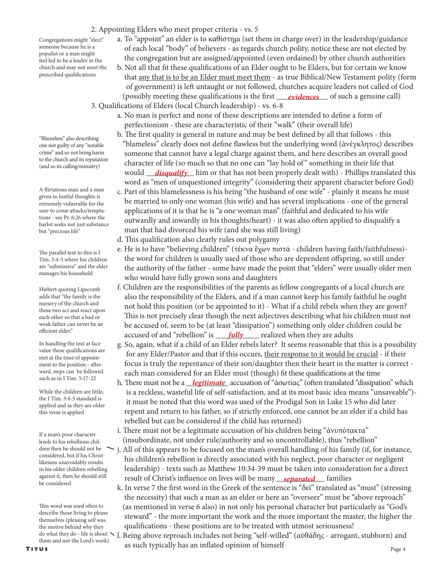## 2. Appointing Elders who meet proper criteria - vs. 5

Congregations might "elect" someone because he is a populist or a man might feel led to be a leader in the church and may not meet the prescribed qualifications

- a. To "appoint" an elder is to καθίστημι (set them in charge over) in the leadership/guidance of each local "body" of believers - as regards church polity, notice these are not elected by the congregation but are assigned/appointed (even ordained) by other church authorities
- b. Not all that fit these qualifications of an Elder ought to be Elders, but for certain we know that any that is to be an Elder must meet them - as true Biblical/New Testament polity (form of government) is left untaught or not followed, churches acquire leaders not called of God (possibly meeting these qualifications is the first <u>evidences</u> of such a genuine call)
	- 3. Qualifications of Elders (local Church leadership) vs. 6-8
		- a. No man is perfect and none of these descriptions are intended to define a form of perfectionism - these are characteristic of their "walk" (their overall life)
- b. The first quality is general in nature and may be best defined by all that follows this "blameless" clearly does not define flawless but the underlying word (ἀνέγκλητος) describes someone that cannot have a legal charge against them, and here describes an overall good character of life (so much so that no one can "lay hold of" something in their life that would \_\_\_\_\_\_\_\_\_\_\_\_ him or that has not been properly dealt with) - Phillips translated this *disqualify* word as "men of unquestioned integrity" (considering their apparent character before God)
	- c. Part of this blamelessness is his being "the husband of one wife" plainly it means he must be married to only one woman (his wife) and has several implications - one of the general applications of it is that he is "a one woman man" (faithful and dedicated to his wife outwardly and inwardly in his thoughts/heart) - it was also often applied to disqualify a man that had divorced his wife (and she was still living)
	- d. This qualification also clearly rules out polygamy
	- e. He is to have "believing children" (τέκνα ἔχων πιστά children having faith/faithfulness) the word for children is usually used of those who are dependent offspring, so still under the authority of the father - some have made the point that "elders" were usually older men who would have fully grown sons and daughters
- f. Children are the responsibilities of the parents as fellow congregants of a local church are also the responsibility of the Elders, and if a man cannot keep his family faithful he ought not hold this position (or be appointed to it) - What if a child rebels when they are gown? This is not precisely clear though the next adjectives describing what his children must not be accused of, seem to be (at least "dissipation") something only older children could be accused of and "rebellion" is <u>fully</u> realized when they are adults
	- g. So, again, what if a child of an Elder rebels later? It seems reasonable that this is a possibility for any Elder/Pastor and that if this occurs, their response to it would be crucial - if their focus is truly the repentance of their son/daughter then their heart in the matter is correct each man considered for an Elder must (though) fit these qualifications at the time
- *h*. There must not be a <u>legitimate</u> accusation of "ἀσωτίας" (often translated "dissipation" which is a reckless, wasteful life of self-satisfaction, and at its most basic idea means "unsaveable") it must be noted that this word was used of the Prodigal Son in Luke 15 who did later repent and return to his father, so if strictly enforced, one cannot be an elder if a child has rebelled but can be considered if the child has returned)
	- i. There must not be a legitimate accusation of his children being "ἀνυπότακτα" (insubordinate, not under rule/authority and so uncontrollable), thus "rebellion"
- j. All of this appears to be focused on the man's overall handling of his family (if, for instance, his children's rebellion is directly associated with his neglect, poor character or negligent leadership) - texts such as Matthew 10:34-39 must be taken into consideration for a direct against it, then he should still **result of Christ's influence on lives will be many** <u>separated</u> families
	- k. In verse 7 the first word in the Greek of the sentence is "δεῖ" translated as "must" (stressing the necessity) that such a man as an elder or here an "overseer" must be "above reproach" (as mentioned in verse 6 also) in not only his personal character but particularly as "God's steward" - the more important the work and the more important the master, the higher the qualifications - these positions are to be treated with utmost seriousness!
- TITUS<br>TITUS as such typically has an inflated opinion of himself Page 4 l. Being above reproach includes not being "self-willed" (αὐθάδης - arrogant, stubborn) and

"Blameless" also describing one not guilty of any "notable crime" and so not bring harm to the church and its reputation (and so its calling/ministry)

A flirtatious man and a man given to lustful thoughts is extremely vulnerable for the sure to come attacks/temptations - see Pr. 6:26 where the harlot seeks not just substance but "precious life"

The parallel text to this is I Tim. 3:4-5 where his children are "submissive" and the elder manages his household

Hiebert quoting Lipscomb adds that "the family is the nursery of the church and these two act and react upon each other so that a bad or weak father can never be an efficient elder."

In handling the text at face value these qualifications are met at the time of appointment to the position - afterward, steps can be followed such as in I Tim. 5:17-22

While the children are little, the I Tim. 3:4-5 standard is applied and as they are older this verse is applied

If a man's poor character lends to his rebellious children then he should not be considered, but if his Christlikeness unavoidably results in his older children rebelling against it, then he should still be considered

This word was used often to describe those living to please themselves (pleasing self was the motive behind why they do what they do - life is about  $\searrow$ them and not the Lord's work)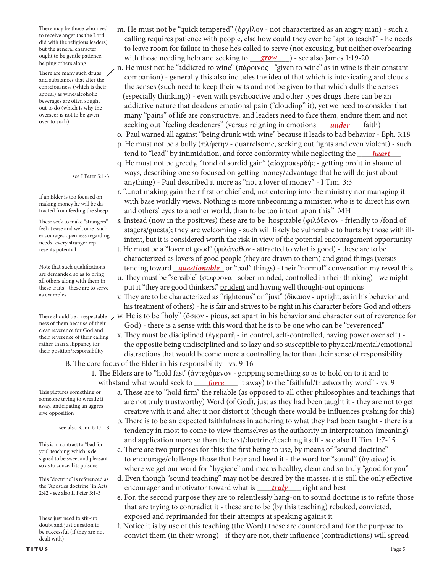There may be those who need to receive anger (as the Lord did with the religious leaders) but the general character ought to be gentle patience, helping others along

There are many such drugs and substances that alter the consciousness (which is their appeal) as wine/alcoholic beverages are often sought out to do (which is why the overseer is not to be given over to such)

#### see I Peter 5:1-3

If an Elder is too focused on making money he will be distracted from feeding the sheep

These seek to make "strangers" feel at ease and welcome- such encourages openness regarding needs- every stranger represents potential

Note that such qualifications are demanded so as to bring all others along with them in these traits - these are to serve as examples

ness of them because of their clear reverence for God and their reverence of their calling rather than a flippancy for their position/responsibility

 calling requires patience with people, else how could they ever be "apt to teach?" - he needs to leave room for failure in those he's called to serve (not excusing, but neither overbearing ought to be gentle patience, with those needing help and seeking to <u>grow</u> ) - see also James 1:19-20 n. He must not be "addicted to wine" (πάροινος - "given to wine" as in wine is their constant

m. He must not be "quick tempered" (ὀργίλον - not characterized as an angry man) - such a

 companion) - generally this also includes the idea of that which is intoxicating and clouds the senses (such need to keep their wits and not be given to that which dulls the senses (especially thinking)) - even with psychoactive and other types drugs there can be an addictive nature that deadens emotional pain ("clouding" it), yet we need to consider that many "pains" of life are constructive, and leaders need to face them, endure them and not <sup>over to sucn)</sup> seeking out "feeling deadeners" (versus reigning in emotions <u>under</u> faith)

o. Paul warned all against "being drunk with wine" because it leads to bad behavior - Eph. 5:18

- p. He must not be a bully (πλήκτην quarrelsome, seeking out fights and even violent) such tend to "lead" by intimidation, and force conformity while neglecting the <u>heart</u>
	- q. He must not be greedy, "fond of sordid gain" (αἰσχροκερδής getting profit in shameful ways, describing one so focused on getting money/advantage that he will do just about anything) - Paul described it more as "not a lover of money" - I Tim. 3:3
	- r. "...not making gain their first or chief end, not entering into the ministry nor managing it with base worldly views. Nothing is more unbecoming a minister, who is to direct his own and others' eyes to another world, than to be too intent upon this." MH
	- s. Instead (now in the positives) these are to be hospitable (φιλόξενον friendly to /fond of stagers/guests); they are welcoming - such will likely be vulnerable to hurts by those with ill intent, but it is considered worth the risk in view of the potential encouragement opportunity
- t. He must be a "lover of good" (φιλάγαθον attracted to what is good) these are to be characterized as lovers of good people (they are drawn to them) and good things (versus Note that such qualifications tending toward <u>\_\_questionable</u>\_\_ or "bad" things) - their "normal" conversation my reveal this u. They must be "sensible" (σώφρονα - sober-minded, controlled in their thinking) - we might
	- put it "they are good thinkers," prudent and having well thought-out opinions
- v. They are to be characterized as "righteous" or "just" (δίκαιον upright, as in his behavior and his treatment of others) - he is fair and strives to be right in his character before God and others There should be a respectable-  $\,\prime\,$  w. He is to be "holy" (ὅσιον - pious, set apart in his behavior and character out of reverence for
	- God) there is a sense with this word that he is to be one who can be "reverenced" x. They must be disciplined (ἐγκρατῆ - in control, self-controlled, having power over self) -
	- the opposite being undisciplined and so lazy and so susceptible to physical/mental/emotional distractions that would become more a controlling factor than their sense of responsibility B. The core focus of the Elder in his responsibility - vs. 9-16
- 1. The Elders are to "hold fast' (ἀντεχόμενον gripping something so as to hold on to it and to withstand what would seek to \_\_\_\_*force* \_\_\_\_ it away) to the "faithful/trustworthy word" - vs. 9

This pictures something or someone trying to wrestle it away, anticipating an aggressive opposition

#### see also Rom. 6:17-18

This is in contrast to "bad for you" teaching, which is designed to be sweet and pleasant so as to conceal its poisons

This "doctrine" is referenced as the "Apostles doctrine" in Acts 2:42 - see also II Peter 3:1-3

These just need to stir-up doubt and just question to be successful (if they are not dealt with)

# a. These are to "hold firm" the reliable (as opposed to all other philosophies and teachings that are not truly trustworthy) Word (of God), just as they had been taught it - they are not to get creative with it and alter it nor distort it (though there would be influences pushing for this) b. There is to be an expected faithfulness in adhering to what they had been taught - there is a

- tendency in most to come to view themselves as the authority in interpretation (meaning) and application more so than the text/doctrine/teaching itself - see also II Tim. 1:7-15
- c. There are two purposes for this: the first being to use, by means of "sound doctrine" to encourage/challenge those that hear and heed it - the word for "sound" (ὑγιαίνω) is where we get our word for "hygiene" and means healthy, clean and so truly "good for you"
- d. Even though "sound teaching" may not be desired by the masses, it is still the only effective the "Apostles doctrine" in Acts encourager and motivator toward what is <u>truly</u> right and best
	- e. For, the second purpose they are to relentlessly hang-on to sound doctrine is to refute those that are trying to contradict it - these are to be (by this teaching) rebuked, convicted, exposed and reprimanded for their attempts at speaking against it
	- f. Notice it is by use of this teaching (the Word) these are countered and for the purpose to convict them (in their wrong) - if they are not, their influence (contradictions) will spread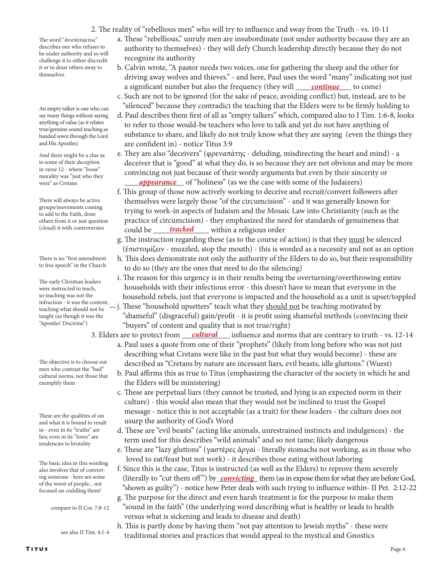2. The reality of "rebellious men" who will try to influence and sway from the Truth - vs. 10-11

The word "ἀνυπότακτος" describes one who refuses to be under authority and so will challenge it to either discredit it or to draw others away to themselves

An empty talker is one who can say many things without saying anything of value (as it relates true/genuine sound teaching as handed sown through the Lord and His Apostles)

And there might be a clue as to some of their deception in verse 12 - where "loose" morality was "just who they were" as Cretans

There will always be active groups/movements coming to add to the Faith, draw others from it or just question (cloud) it with controversies

There is no "first amendment to free speech" in the Church

The early Christian leaders were instructed to teach, so teaching was not the infraction - it was the content, teaching what should not be taught (as though it was the "Apostles' Doctrine")

The objective is to choose out men who contrast the "bad" cultural norms, not those that exemplify them

These are the qualities of sin and what it is bound to result in - even in its "truths" are lies; even in its "loves" are tendencies to brutality

The basic idea in this wording also involves that of converting someone - here are some of the worst of people... not focused on coddling them!

compare to II Cor. 7:8-12

see also II Tim. 4:1-4

- a. These "rebellious," unruly men are insubordinate (not under authority because they are an authority to themselves) - they will defy Church leadership directly because they do not recognize its authority
- b. Calvin wrote, "A pastor needs two voices, one for gathering the sheep and the other for driving away wolves and thieves." - and here, Paul uses the word "many" indicating not just a significant number but also the frequency (they will <u>continue</u> to come)
	- c. Such are not to be ignored (for the sake of peace, avoiding conflict) but, instead, are to be "silenced" because they contradict the teaching that the Elders were to be firmly holding to
	- d. Paul describes them first of all as "empty talkers" which, compared also to I Tim. 1:6-8, looks to refer to those would-be teachers who love to talk and yet do not have anything of substance to share, and likely do not truly know what they are saying (even the things they are confident in) - notice Titus 3:9
- e. They are also "deceivers" (φρεναπάτης deluding, misdirecting the heart and mind) a deceiver that is "good" at what they do, is so because they are not obvious and may be more convincing not just because of their wordy arguments but even by their sincerity or were" as Cretans *appearance* of "holiness" (as we the case with some of the Judaizers)
- f. This group of those now actively working to deceive and recruit/convert followers after themselves were largely those "of the circumcision" - and it was generally known for trying to work-in aspects of Judaism and the Mosaic Law into Christianity (such as the practice of circumcision) - they emphasized the need for standards of genuineness that (cloud) it with controversies could be <u>tracked</u> within a religious order
	- g. The instruction regarding these (as to the course of action) is that they must be silenced (ἐπιστομίζειν - muzzled, stop the mouth) - this is worded as a necessity and not as an option
	- h. This does demonstrate not only the authority of the Elders to do so, but their responsibility to do so (they are the ones that need to do the silencing)
	- i. The reason for this urgency is in their results being the overturning/overthrowing entire households with their infectious error - this doesn't have to mean that everyone in the household rebels, just that everyone is impacted and the household as a unit is upset/toppled
	- -j. These "household upsetters" teach what they should not be teaching motivated by "shameful" (disgraceful) gain/profit - it is profit using shameful methods (convincing their "buyers" of content and quality that is not true/right)
	- influence and norms that are contrary to truth vs. 12-14 a. Paul uses a quote from one of their "prophets" (likely from long before who was not just 3. Elders are to protect from *cultural* 
		- describing what Cretans were like in the past but what they would become) these are described as "Cretans by nature are incessant liars, evil beasts, idle gluttons." (Wuest)
		- b. Paul affirms this as true to Titus (emphasizing the character of the society in which he and the Elders will be ministering)
		- c. These are perpetual liars (they cannot be trusted, and lying is an expected norm in their culture) - this would also mean that they would not be inclined to trust the Gospel message - notice this is not acceptable (as a trait) for these leaders - the culture does not usurp the authority of God's Word
		- d. These are "evil beasts" (acting like animals, unrestrained instincts and indulgences) the term used for this describes "wild animals" and so not tame; likely dangerous
		- e. These are "lazy gluttons" (γαστέρες ἀργαί literally stomachs not working, as in those who loved to eat/feast but not work) - it describes those eating without laboring
- f. Since this is the case, Titus is instructed (as well as the Elders) to reprove them severely ing someone - here are some (literally to "cut them off") by <u>convicting</u> them (as in expose them for what they are before God, "shown as guilty") - notice how Peter deals with such trying to influence within- II Pet. 2:12-22
	- g. The purpose for the direct and even harsh treatment is for the purpose to make them "sound in the faith" (the underlying word describing what is healthy or leads to health versus what is sickening and leads to disease and death)
	- h. This is partly done by having them "not pay attention to Jewish myths" these were traditional stories and practices that would appeal to the mystical and Gnostics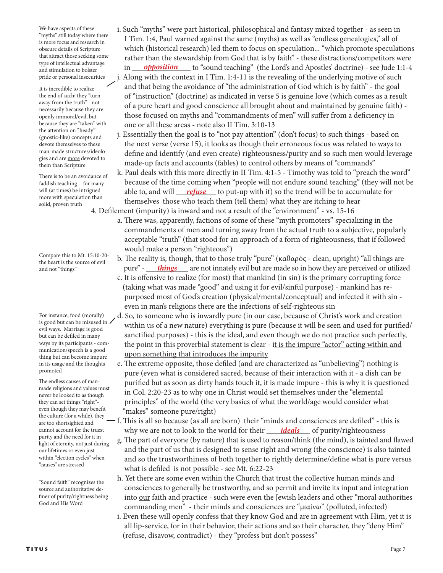We have aspects of these "myths" still today where there is more focus and research in obscure details of Scripture that attract those seeking some type of intellectual advantage and stimulation to bolster pride or personal insecurities

It is incredible to realize the end of such; they "turn away from the truth" - not necessarily because they are openly immoral/evil, but because they are "taken" with the attention on "heady" (gnostic-like) concepts and devote themselves to these man-made structures/ideologies and are more devoted to them than Scripture

There is to be an avoidance of faddish teaching - for many will (at times) be intrigued more with speculation than solid, proven truth

Compare this to Mt. 15:10-20 the heart is the source of evil and not "things"

For instance, food (morally) is good but can be misused in evil ways. Marriage is good but can be defiled in many ways by its participants - communication/speech is a good thing but can become impure in its usage and the thoughts promoted

The endless causes of manmade religions and values must never be looked to as though they can set things "right" even though they may benefit the culture (for a while), they are too shortsighted and cannot account for the truest purity and the need for it in light of eternity, not just during our lifetimes or even just within "election cycles" when "causes" are stressed

"Sound faith" recognizes the source and authoritative definer of purity/rightness being God and His Word

- i. Such "myths" were part historical, philosophical and fantasy mixed together as seen in I Tim. 1:4, Paul warned against the same (myths) as well as "endless genealogies," all of which (historical research) led them to focus on speculation... "which promote speculations rather than the stewardship from God that is by faith" - these distractions/competitors were in \_\_\_\_\_\_\_\_\_\_\_\_\_\_\_ to "sound teaching" (the Lord's and Apostles' doctrine) - see Jude 1:1-4 *opposition*
	- Along with the context in I Tim.  $1:4-11$  is the revealing of the underlying motive of such and that being the avoidance of "the administration of God which is by faith" - the goal of "instruction" (doctrine) as indicated in verse 5 is genuine love (which comes as a result of a pure heart and good conscience all brought about and maintained by genuine faith) those focused on myths and "commandments of men" will suffer from a deficiency in one or all these areas - note also II Tim. 3:10-13
	- j. Essentially then the goal is to "not pay attention" (don't focus) to such things based on the next verse (verse 15), it looks as though their erroneous focus was related to ways to define and identify (and even create) righteousness/purity and so such men would leverage made-up facts and accounts (fables) to control others by means of "commands"
- k. Paul deals with this more directly in II Tim. 4:1-5 Timothy was told to "preach the word" because of the time coming when "people will not endure sound teaching" (they will not be will (at times) be intrigued able to, and will <u>refuse</u> to put-up with it) so the trend will be to accumulate for themselves those who teach them (tell them) what they are itching to hear

4. Defilement (impurity) is inward and not a result of the "environment" - vs. 15-16

- a. There was, apparently, factions of some of these "myth promoters" specializing in the commandments of men and turning away from the actual truth to a subjective, popularly acceptable "truth" (that stood for an approach of a form of righteousness, that if followed would make a person "righteous")
- b. The reality is, though, that to those truly "pure" (καθαρός clean, upright) "all things are and not "things" pure" - <u> **things** </u> are not innately evil but are made so in how they are perceived or utilized
	- c. It is offensive to realize (for most) that mankind (in sin) is the primary corrupting force (taking what was made "good" and using it for evil/sinful purpose) - mankind has re purposed most of God's creation (physical/mental/conceptual) and infected it with sin even in man's religions there are the infections of self-righteous sin
	- d. So, to someone who is inwardly pure (in our case, because of Christ's work and creation within us of a new nature) everything is pure (because it will be seen and used for purified/ sanctified purposes) - this is the ideal, and even though we do not practice such perfectly, the point in this proverbial statement is clear - it is the impure "actor" acting within and upon something that introduces the impurity
	- e. The extreme opposite, those defiled (and are characterized as "unbelieving") nothing is pure (even what is considered sacred, because of their interaction with it - a dish can be purified but as soon as dirty hands touch it, it is made impure - this is why it is questioned in Col. 2:20-23 as to why one in Christ would set themselves under the "elemental principles" of the world (the very basics of what the world/age would consider what "makes" someone pure/right)
- f. This is all so because (as all are born) their "minds and consciences are defiled" this is cannot account for the truest why we are not to look to the world for their *\_\_\_\_\_ideals* \_\_\_\_ of purity/righteousness
	- g. The part of everyone (by nature) that is used to reason/think (the mind), is tainted and flawed and the part of us that is designed to sense right and wrong (the conscience) is also tainted and so the trustworthiness of both together to rightly determine/define what is pure versus what is defiled is not possible - see Mt. 6:22-23
	- h. Yet there are some even within the Church that trust the collective human minds and consciences to generally be trustworthy, and so permit and invite its input and integration into our faith and practice - such were even the Jewish leaders and other "moral authorities commanding men" - their minds and consciences are "μιαίνω" (polluted, infected)
	- i. Even these will openly confess that they know God and are in agreement with Him, yet it is all lip-service, for in their behavior, their actions and so their character, they "deny Him" (refuse, disavow, contradict) - they "profess but don't possess"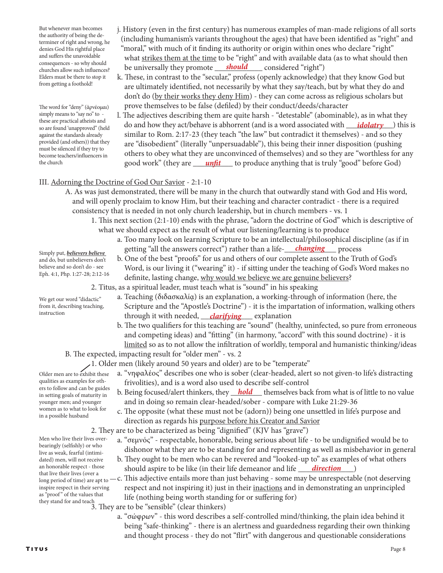But whenever man becomes the authority of being the determiner of right and wrong, he denies God His rightful place and suffers the unavoidable consequences - so why should churches allow such influences? Elders must be there to stop it from getting a foothold!

The word for "deny" (ἀρνέομαι) simply means to "say no" to these are practical atheists and so are found 'unapproved" (held against the standards already provided (and others)) that they must be silenced if they try to become teachers/influencers in the church

- j. History (even in the first century) has numerous examples of man-made religions of all sorts (including humanism's variants throughout the ages) that have been identified as "right" and "moral," with much of it finding its authority or origin within ones who declare "right" what strikes them at the time to be "right" and with available data (as to what should then consequences - so why should **be universally they promote <u>\_\_\_\_\_\_should</u> \_\_\_\_**\_\_\_ considered "right")
	- k. These, in contrast to the "secular," profess (openly acknowledge) that they know God but are ultimately identified, not necessarily by what they say/teach, but by what they do and don't do (by their works they deny Him) - they can come across as religious scholars but prove themselves to be false (defiled) by their conduct/deeds/character
- l. The adjectives describing them are quite harsh "detestable" (abominable), as in what they arese are practical attiesis and **do and how they act/behave is abhorrent** (and is a word associated with <u>adolatry</u>) this is is some found 'unapproved'' (held similar to Rom. 2:17-23 (they teach "the law" but contradict it themselves) - and so they are "disobedient" (literally "unpersuadable"), this being their inner disposition (pushing others to obey what they are unconvinced of themselves) and so they are "worthless for any the church state of they are <u>unfit</u> to produce anything that is truly "good" before God)

## III. Adorning the Doctrine of God Our Savior - 2:1-10

- A. As was just demonstrated, there will be many in the church that outwardly stand with God and His word, and will openly proclaim to know Him, but their teaching and character contradict - there is a required consistency that is needed in not only church leadership, but in church members - vs. 1
	- 1. This next section (2:1-10) ends with the phrase, "adorn the doctrine of God" which is descriptive of what we should expect as the result of what our listening/learning is to produce
- a. Too many look on learning Scripture to be an intellectual/philosophical discipline (as if in getting "all the answers correct") rather than a life-**\_\_\_\_\_\_\_\_\_\_\_\_\_\_\_\_** process
	- b. One of the best "proofs" for us and others of our complete assent to the Truth of God's Word, is our living it ("wearing" it) - if sitting under the teaching of God's Word makes no definite, lasting change, why would we believe we are genuine believers?

2. Titus, as a spiritual leader, must teach what is "sound" in his speaking

- a. Teaching (διδασκαλίᾳ) is an explanation, a working-through of information (here, the Scripture and the "Apostle's Doctrine") - it is the impartation of information, walking others <sup>instruction</sup> through it with needed, construction and explanation
	- b. The two qualifiers for this teaching are "sound" (healthy, uninfected, so pure from erroneous and competing ideas) and "fitting" (in harmony, "accord" with this sound doctrine) - it is limited so as to not allow the infiltration of worldly, temporal and humanistic thinking/ideas
	- B. The expected, impacting result for "older men" vs. 2
		- 1. Older men (likely around 50 years and older) are to be "temperate"
			- a. "νηφαλέος" describes one who is sober (clear-headed, alert so not given-to life's distracting frivolities), and is a word also used to describe self-control
- in setting goals of maturity in b. Being focused/alert thinkers, they **hold** themselves back from what is of little to no value and in doing so remain clear-headed/sober - compare with Luke 21:29-36
	- c. The opposite (what these must not be (adorn)) being one unsettled in life's purpose and direction as regards his purpose before his Creator and Savior

2. They are to be characterized as being "dignified" (KJV has "grave")

- a. "σεμνός" respectable, honorable, being serious about life to be undignified would be to dishonor what they are to be standing for and representing as well as misbehavior in general
- b. They ought to be men who can be revered and "looked-up to" as examples of what others an honorable respect - those should aspire to be like (in their life demeanor and life <u>direction</u>)
- that live their lives (over a<br>long period of time) are apt to —c. This adjective entails more than just behaving some may be unrespectable (not deserving respect and not inspiring it) just in their inactions and in demonstrating an unprincipled life (nothing being worth standing for or suffering for)
- 3. They are to be "sensible" (clear thinkers) they stand for and teach
	- a. "σώφρων" this word describes a self-controlled mind/thinking, the plain idea behind it being "safe-thinking" - there is an alertness and guardedness regarding their own thinking and thought process - they do not "flirt" with dangerous and questionable considerations

Simply put, *believers believe*  and do, but unbelievers don't believe and so don't do - see Eph. 4:1, Php. 1:27-28; 2:12-16

We get our word "didactic" from it, describing teaching,

instruction

Older men are to exhibit these qualities as examples for others to follow and can be guides in setting goals of maturity in younger men; and younger women as to what to look for

Men who live their lives overbearingly (selfishly) or who live as weak, fearful (intimidated) men, will not receive an honorable respect - those long period of time) are apt to inspire respect in their serving as "proof" of the values that

in a possible husband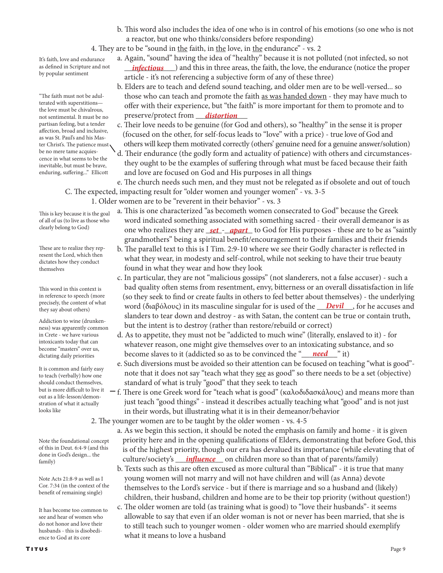b. This word also includes the idea of one who is in control of his emotions (so one who is not a reactor, but one who thinks/considers before responding)

a. Again, "sound" having the idea of "healthy" because it is not polluted (not infected, so not

 b. Elders are to teach and defend sound teaching, and older men are to be well-versed... so those who can teach and promote the faith as was handed down - they may have much to offer with their experience, but "the faith" is more important for them to promote and to

 c. Their love needs to be genuine (for God and others), so "healthy" in the sense it is proper (focused on the other, for self-focus leads to "love" with a price) - true love of God and others will keep them motivated correctly (others' genuine need for a genuine answer/solution) d. Their endurance (the godly form and actuality of patience) with others and circumstances they ought to be the examples of suffering through what must be faced because their faith

4. They are to be "sound in the faith, in the love, in the endurance" - vs. 2

article - it's not referencing a subjective form of any of these three)

as defined in Scripture and not *infectious* ) and this in three areas, the faith, the love, the endurance (notice the proper It's faith, love and endurance as defined in Scripture and not by popular sentiment

 preserve/protect from \_\_\_\_\_\_\_\_\_\_\_\_\_ *distortion* "The faith must not be adulterated with superstitions the love must be chivalrous, not sentimental. It must be no partisan feeling, but a tender affection, broad and inclusive, as was St. Paul's and his Master Christ's. The patience must be no mere tame acquiescence in what seems to be the inevitable, but must be brave, enduring, suffering..." Ellicott

 and love are focused on God and His purposes in all things e. The church needs such men, and they must not be relegated as if obsolete and out of touch C. The expected, impacting result for "older women and younger women" - vs. 3-5

1. Older women are to be "reverent in their behavior" - vs. 3

- a. This is one characterized "as becometh women consecrated to God" because the Greek word indicated something associated with something sacred - their overall demeanor is as clearly belong to God) one who realizes they are <u>set - apart</u> to God for His purposes - these are to be as "saintly grandmothers" being a spiritual benefit/encouragement to their families and their friends
	- b. The parallel text to this is I Tim. 2:9-10 where we see their Godly character is reflected in what they wear, in modesty and self-control, while not seeking to have their true beauty found in what they wear and how they look
- c. In particular, they are not "malicious gossips" (not slanderers, not a false accuser) such a bad quality often stems from resentment, envy, bitterness or an overall dissatisfaction in life (so they seek to find or create faults in others to feel better about themselves) - the underlying *precisely*, the content of what *word (διαβόλους)* in its masculine singular for is used of the *\_\_\_Devil\_\_\_*, for he accuses and *the say about others*) slanders to tear down and destroy - as with Satan, the content can be true or contain truth, but the intent is to destroy (rather than restore/rebuild or correct)
- d. As to appetite, they must not be "addicted to much wine" (literally, enslaved to it) for whatever reason, one might give themselves over to an intoxicating substance, and so become slaves to it (addicted so as to be convinced the "<u>need "</u>" it)
	- e. Such diversions must be avoided so their attention can be focused on teaching "what is good" note that it does not say "teach what they see as good" so there needs to be a set (objective) standard of what is truly "good" that they seek to teach
	- $-f$ . There is one Greek word for "teach what is good" (καλοδιδασκάλους) and means more than just teach "good things" - instead it describes actually teaching what "good" and is not just in their words, but illustrating what it is in their demeanor/behavior

2. The younger women are to be taught by the older women - vs. 4-5

- a. As we begin this section, it should be noted the emphasis on family and home it is given priority here and in the opening qualifications of Elders, demonstrating that before God, this is of the highest priority, though our era has devalued its importance (while elevating that of family) culture/society's <u>influence</u> on children more so than that of parents/family)
	- b. Texts such as this are often excused as more cultural than "Biblical" it is true that many young women will not marry and will not have children and will (as Anna) devote themselves to the Lord's service - but if there is marriage and so a husband and (likely) children, their husband, children and home are to be their top priority (without question!)
	- c. The older women are told (as training what is good) to "love their husbands"- it seems allowable to say that even if an older woman is not or never has been married, that she is to still teach such to younger women - older women who are married should exemplify what it means to love a husband

This is key because it is the goal of all of us (to live as those who clearly belong to God)

These are to realize they represent the Lord, which then dictates how they conduct themselves

This word in this context is in reference to speech (more precisely, the content of what they say about others)

Addiction to wine (drunkenness) was apparently common in Crete - we have various intoxicants today that can become "masters" over us, dictating daily priorities

It is common and fairly easy to teach (verbally) how one should conduct themselves, but is more difficult to live it out as a life-lesson/demonstration of what it actually looks like

Note the foundational concept of this in Deut. 6:4-9 (and this done in God's design... the family)

Note Acts 21:8-9 as well as I Cor. 7:34 (in the context of the benefit of remaining single)

It has become too common to see and hear of women who do not honor and love their husbands - this is disobedience to God at its core